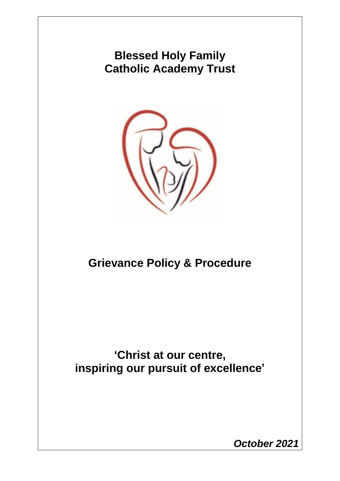## **Blessed Holy Family Catholic Academy Trust**



# **Grievance Policy & Procedure**

## **'Christ at our centre, inspiring our pursuit of excellence'**

*October 2021*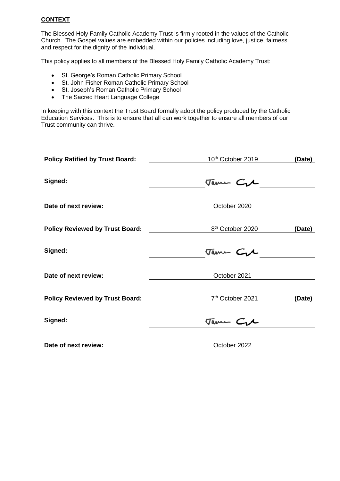### **CONTEXT**

The Blessed Holy Family Catholic Academy Trust is firmly rooted in the values of the Catholic Church. The Gospel values are embedded within our policies including love, justice, fairness and respect for the dignity of the individual.

This policy applies to all members of the Blessed Holy Family Catholic Academy Trust:

- St. George's Roman Catholic Primary School
- St. John Fisher Roman Catholic Primary School
- St. Joseph's Roman Catholic Primary School
- The Sacred Heart Language College

In keeping with this context the Trust Board formally adopt the policy produced by the Catholic Education Services. This is to ensure that all can work together to ensure all members of our Trust community can thrive.

| <b>Policy Ratified by Trust Board:</b> | 10 <sup>th</sup> October 2019 | (Date) |  |
|----------------------------------------|-------------------------------|--------|--|
| Signed:                                | Tame Cre                      |        |  |
| Date of next review:                   | October 2020                  |        |  |
| <b>Policy Reviewed by Trust Board:</b> | 8 <sup>th</sup> October 2020  | (Date) |  |
| Signed:                                | Tame Cyl                      |        |  |
| Date of next review:                   | October 2021                  |        |  |
| <b>Policy Reviewed by Trust Board:</b> | 7 <sup>th</sup> October 2021  | (Date) |  |
| Signed:                                | Tame C.A                      |        |  |
| Date of next review:                   | October 2022                  |        |  |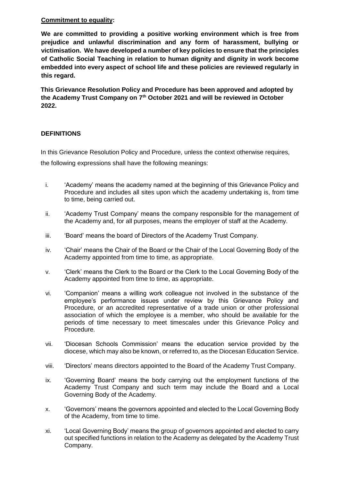## **Commitment to equality:**

**We are committed to providing a positive working environment which is free from prejudice and unlawful discrimination and any form of harassment, bullying or victimisation. We have developed a number of key policies to ensure that the principles of Catholic Social Teaching in relation to human dignity and dignity in work become embedded into every aspect of school life and these policies are reviewed regularly in this regard.**

**This Grievance Resolution Policy and Procedure has been approved and adopted by the Academy Trust Company on 7th October 2021 and will be reviewed in October 2022.** 

## **DEFINITIONS**

In this Grievance Resolution Policy and Procedure, unless the context otherwise requires, the following expressions shall have the following meanings:

- i. 'Academy' means the academy named at the beginning of this Grievance Policy and Procedure and includes all sites upon which the academy undertaking is, from time to time, being carried out.
- ii. 'Academy Trust Company' means the company responsible for the management of the Academy and, for all purposes, means the employer of staff at the Academy.
- iii. 'Board' means the board of Directors of the Academy Trust Company.
- iv. 'Chair' means the Chair of the Board or the Chair of the Local Governing Body of the Academy appointed from time to time, as appropriate.
- v. 'Clerk' means the Clerk to the Board or the Clerk to the Local Governing Body of the Academy appointed from time to time, as appropriate.
- vi. 'Companion' means a willing work colleague not involved in the substance of the employee's performance issues under review by this Grievance Policy and Procedure, or an accredited representative of a trade union or other professional association of which the employee is a member, who should be available for the periods of time necessary to meet timescales under this Grievance Policy and Procedure.
- vii. 'Diocesan Schools Commission' means the education service provided by the diocese, which may also be known, or referred to, as the Diocesan Education Service.
- viii. 'Directors' means directors appointed to the Board of the Academy Trust Company.
- ix. 'Governing Board' means the body carrying out the employment functions of the Academy Trust Company and such term may include the Board and a Local Governing Body of the Academy.
- x. 'Governors' means the governors appointed and elected to the Local Governing Body of the Academy, from time to time.
- xi. 'Local Governing Body' means the group of governors appointed and elected to carry out specified functions in relation to the Academy as delegated by the Academy Trust Company.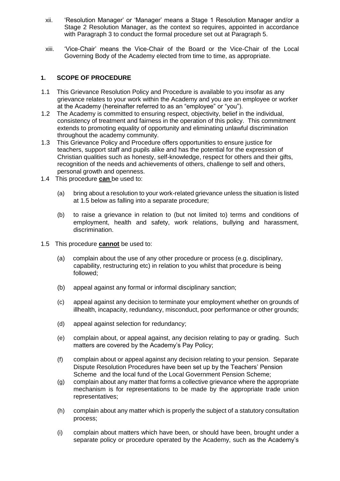- xii. 'Resolution Manager' or 'Manager' means a Stage 1 Resolution Manager and/or a Stage 2 Resolution Manager, as the context so requires, appointed in accordance with Paragraph 3 to conduct the formal procedure set out at Paragraph 5.
- xiii. 'Vice-Chair' means the Vice-Chair of the Board or the Vice-Chair of the Local Governing Body of the Academy elected from time to time, as appropriate.

### **1. SCOPE OF PROCEDURE**

- 1.1 This Grievance Resolution Policy and Procedure is available to you insofar as any grievance relates to your work within the Academy and you are an employee or worker at the Academy (hereinafter referred to as an "employee" or "you").
- 1.2 The Academy is committed to ensuring respect, objectivity, belief in the individual, consistency of treatment and fairness in the operation of this policy. This commitment extends to promoting equality of opportunity and eliminating unlawful discrimination throughout the academy community.
- 1.3 This Grievance Policy and Procedure offers opportunities to ensure justice for teachers, support staff and pupils alike and has the potential for the expression of Christian qualities such as honesty, self-knowledge, respect for others and their gifts, recognition of the needs and achievements of others, challenge to self and others, personal growth and openness.
- 1.4 This procedure **can** be used to:
	- (a) bring about a resolution to your work-related grievance unless the situation is listed at 1.5 below as falling into a separate procedure;
	- (b) to raise a grievance in relation to (but not limited to) terms and conditions of employment, health and safety, work relations, bullying and harassment, discrimination.
- 1.5 This procedure **cannot** be used to:
	- (a) complain about the use of any other procedure or process (e.g. disciplinary, capability, restructuring etc) in relation to you whilst that procedure is being followed;
	- (b) appeal against any formal or informal disciplinary sanction;
	- (c) appeal against any decision to terminate your employment whether on grounds of illhealth, incapacity, redundancy, misconduct, poor performance or other grounds;
	- (d) appeal against selection for redundancy;
	- (e) complain about, or appeal against, any decision relating to pay or grading. Such matters are covered by the Academy's Pay Policy;
	- (f) complain about or appeal against any decision relating to your pension. Separate Dispute Resolution Procedures have been set up by the Teachers' Pension Scheme and the local fund of the Local Government Pension Scheme;
	- (g) complain about any matter that forms a collective grievance where the appropriate mechanism is for representations to be made by the appropriate trade union representatives;
	- (h) complain about any matter which is properly the subject of a statutory consultation process;
	- (i) complain about matters which have been, or should have been, brought under a separate policy or procedure operated by the Academy, such as the Academy's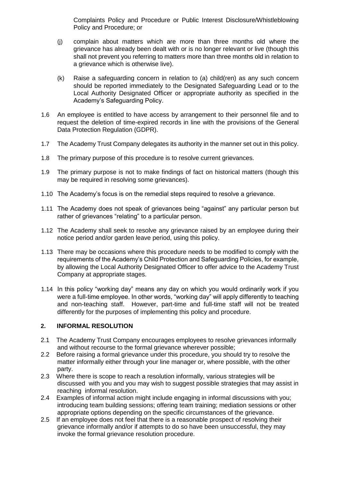Complaints Policy and Procedure or Public Interest Disclosure/Whistleblowing Policy and Procedure; or

- (j) complain about matters which are more than three months old where the grievance has already been dealt with or is no longer relevant or live (though this shall not prevent you referring to matters more than three months old in relation to a grievance which is otherwise live).
- (k) Raise a safeguarding concern in relation to (a) child(ren) as any such concern should be reported immediately to the Designated Safeguarding Lead or to the Local Authority Designated Officer or appropriate authority as specified in the Academy's Safeguarding Policy.
- 1.6 An employee is entitled to have access by arrangement to their personnel file and to request the deletion of time-expired records in line with the provisions of the General Data Protection Regulation (GDPR).
- 1.7 The Academy Trust Company delegates its authority in the manner set out in this policy.
- 1.8 The primary purpose of this procedure is to resolve current grievances.
- 1.9 The primary purpose is not to make findings of fact on historical matters (though this may be required in resolving some grievances).
- 1.10 The Academy's focus is on the remedial steps required to resolve a grievance.
- 1.11 The Academy does not speak of grievances being "against" any particular person but rather of grievances "relating" to a particular person.
- 1.12 The Academy shall seek to resolve any grievance raised by an employee during their notice period and/or garden leave period, using this policy.
- 1.13 There may be occasions where this procedure needs to be modified to comply with the requirements of the Academy's Child Protection and Safeguarding Policies, for example, by allowing the Local Authority Designated Officer to offer advice to the Academy Trust Company at appropriate stages.
- 1.14 In this policy "working day" means any day on which you would ordinarily work if you were a full-time employee. In other words, "working day" will apply differently to teaching and non-teaching staff. However, part-time and full-time staff will not be treated differently for the purposes of implementing this policy and procedure.

## **2. INFORMAL RESOLUTION**

- 2.1 The Academy Trust Company encourages employees to resolve grievances informally and without recourse to the formal grievance wherever possible;
- 2.2 Before raising a formal grievance under this procedure, you should try to resolve the matter informally either through your line manager or, where possible, with the other party.
- 2.3 Where there is scope to reach a resolution informally, various strategies will be discussed with you and you may wish to suggest possible strategies that may assist in reaching informal resolution.
- 2.4 Examples of informal action might include engaging in informal discussions with you; introducing team building sessions; offering team training; mediation sessions or other appropriate options depending on the specific circumstances of the grievance.
- 2.5 If an employee does not feel that there is a reasonable prospect of resolving their grievance informally and/or if attempts to do so have been unsuccessful, they may invoke the formal grievance resolution procedure.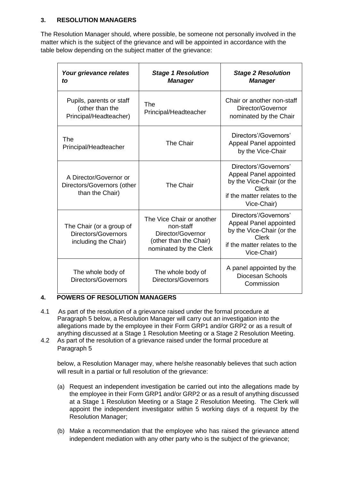## **3. RESOLUTION MANAGERS**

The Resolution Manager should, where possible, be someone not personally involved in the matter which is the subject of the grievance and will be appointed in accordance with the table below depending on the subject matter of the grievance:

| Your grievance relates<br>to                                                   | <b>Stage 1 Resolution</b><br><b>Manager</b>                                                                     | <b>Stage 2 Resolution</b><br><b>Manager</b>                                                                                                 |
|--------------------------------------------------------------------------------|-----------------------------------------------------------------------------------------------------------------|---------------------------------------------------------------------------------------------------------------------------------------------|
| Pupils, parents or staff<br>(other than the<br>Principal/Headteacher)          | The<br>Principal/Headteacher                                                                                    | Chair or another non-staff<br>Director/Governor<br>nominated by the Chair                                                                   |
| The<br>Principal/Headteacher                                                   | The Chair                                                                                                       | Directors'/Governors'<br>Appeal Panel appointed<br>by the Vice-Chair                                                                        |
| A Director/Governor or<br>Directors/Governors (other<br>than the Chair)        | The Chair                                                                                                       | Directors'/Governors'<br>Appeal Panel appointed<br>by the Vice-Chair (or the<br><b>Clerk</b><br>if the matter relates to the<br>Vice-Chair) |
| The Chair (or a group of<br><b>Directors/Governors</b><br>including the Chair) | The Vice Chair or another<br>non-staff<br>Director/Governor<br>(other than the Chair)<br>nominated by the Clerk | Directors'/Governors'<br>Appeal Panel appointed<br>by the Vice-Chair (or the<br>Clerk<br>if the matter relates to the<br>Vice-Chair)        |
| The whole body of<br><b>Directors/Governors</b>                                | The whole body of<br><b>Directors/Governors</b>                                                                 | A panel appointed by the<br>Diocesan Schools<br>Commission                                                                                  |

## **4. POWERS OF RESOLUTION MANAGERS**

- 4.1 As part of the resolution of a grievance raised under the formal procedure at Paragraph 5 below, a Resolution Manager will carry out an investigation into the allegations made by the employee in their Form GRP1 and/or GRP2 or as a result of anything discussed at a Stage 1 Resolution Meeting or a Stage 2 Resolution Meeting.
- 4.2 As part of the resolution of a grievance raised under the formal procedure at Paragraph 5

below, a Resolution Manager may, where he/she reasonably believes that such action will result in a partial or full resolution of the grievance:

- (a) Request an independent investigation be carried out into the allegations made by the employee in their Form GRP1 and/or GRP2 or as a result of anything discussed at a Stage 1 Resolution Meeting or a Stage 2 Resolution Meeting. The Clerk will appoint the independent investigator within 5 working days of a request by the Resolution Manager;
- (b) Make a recommendation that the employee who has raised the grievance attend independent mediation with any other party who is the subject of the grievance;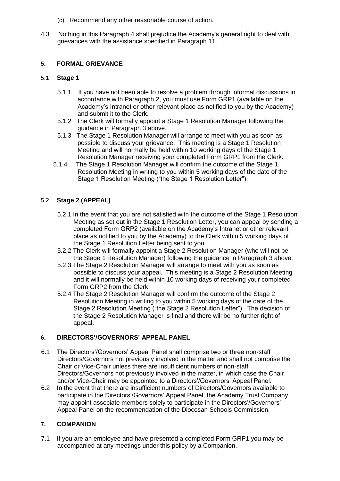- (c) Recommend any other reasonable course of action.
- 4.3 Nothing in this Paragraph 4 shall prejudice the Academy's general right to deal with grievances with the assistance specified in Paragraph 11.

## **5. FORMAL GRIEVANCE**

### 5.1 **Stage 1**

- 5.1.1 If you have not been able to resolve a problem through informal discussions in accordance with Paragraph 2, you must use Form GRP1 (available on the Academy's Intranet or other relevant place as notified to you by the Academy) and submit it to the Clerk.
- 5.1.2 The Clerk will formally appoint a Stage 1 Resolution Manager following the guidance in Paragraph 3 above.
- 5.1.3 The Stage 1 Resolution Manager will arrange to meet with you as soon as possible to discuss your grievance. This meeting is a Stage 1 Resolution Meeting and will normally be held within 10 working days of the Stage 1 Resolution Manager receiving your completed Form GRP1 from the Clerk.
- 5.1.4 The Stage 1 Resolution Manager will confirm the outcome of the Stage 1 Resolution Meeting in writing to you within 5 working days of the date of the Stage 1 Resolution Meeting ("the Stage 1 Resolution Letter").

## 5.2 **Stage 2 (APPEAL)**

- 5.2.1 In the event that you are not satisfied with the outcome of the Stage 1 Resolution Meeting as set out in the Stage 1 Resolution Letter, you can appeal by sending a completed Form GRP2 (available on the Academy's Intranet or other relevant place as notified to you by the Academy) to the Clerk within 5 working days of the Stage 1 Resolution Letter being sent to you.
- 5.2.2 The Clerk will formally appoint a Stage 2 Resolution Manager (who will not be the Stage 1 Resolution Manager) following the guidance in Paragraph 3 above.
- 5.2.3 The Stage 2 Resolution Manager will arrange to meet with you as soon as possible to discuss your appeal. This meeting is a Stage 2 Resolution Meeting and it will normally be held within 10 working days of receiving your completed Form GRP2 from the Clerk.
- 5.2.4 The Stage 2 Resolution Manager will confirm the outcome of the Stage 2 Resolution Meeting in writing to you within 5 working days of the date of the Stage 2 Resolution Meeting ("the Stage 2 Resolution Letter"). The decision of the Stage 2 Resolution Manager is final and there will be no further right of appeal.

#### **6. DIRECTORS'/GOVERNORS' APPEAL PANEL**

- 6.1 The Directors'/Governors' Appeal Panel shall comprise two or three non-staff Directors/Governors not previously involved in the matter and shall not comprise the Chair or Vice-Chair unless there are insufficient numbers of non-staff Directors/Governors not previously involved in the matter, in which case the Chair and/or Vice-Chair may be appointed to a Directors'/Governors' Appeal Panel.
- 6.2 In the event that there are insufficient numbers of Directors/Governors available to participate in the Directors'/Governors' Appeal Panel, the Academy Trust Company may appoint associate members solely to participate in the Directors'/Governors' Appeal Panel on the recommendation of the Diocesan Schools Commission.

## **7. COMPANION**

7.1 If you are an employee and have presented a completed Form GRP1 you may be accompanied at any meetings under this policy by a Companion.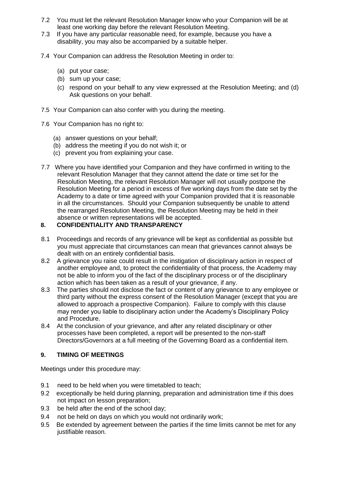- 7.2 You must let the relevant Resolution Manager know who your Companion will be at least one working day before the relevant Resolution Meeting.
- 7.3 If you have any particular reasonable need, for example, because you have a disability, you may also be accompanied by a suitable helper.
- 7.4 Your Companion can address the Resolution Meeting in order to:
	- (a) put your case;
	- (b) sum up your case;
	- (c) respond on your behalf to any view expressed at the Resolution Meeting; and (d) Ask questions on your behalf.
- 7.5 Your Companion can also confer with you during the meeting.
- 7.6 Your Companion has no right to:
	- (a) answer questions on your behalf;
	- (b) address the meeting if you do not wish it; or
	- (c) prevent you from explaining your case.
- 7.7 Where you have identified your Companion and they have confirmed in writing to the relevant Resolution Manager that they cannot attend the date or time set for the Resolution Meeting, the relevant Resolution Manager will not usually postpone the Resolution Meeting for a period in excess of five working days from the date set by the Academy to a date or time agreed with your Companion provided that it is reasonable in all the circumstances. Should your Companion subsequently be unable to attend the rearranged Resolution Meeting, the Resolution Meeting may be held in their absence or written representations will be accepted.

## **8. CONFIDENTIALITY AND TRANSPARENCY**

- 8.1 Proceedings and records of any grievance will be kept as confidential as possible but you must appreciate that circumstances can mean that grievances cannot always be dealt with on an entirely confidential basis.
- 8.2 A grievance you raise could result in the instigation of disciplinary action in respect of another employee and, to protect the confidentiality of that process, the Academy may not be able to inform you of the fact of the disciplinary process or of the disciplinary action which has been taken as a result of your grievance, if any.
- 8.3 The parties should not disclose the fact or content of any grievance to any employee or third party without the express consent of the Resolution Manager (except that you are allowed to approach a prospective Companion). Failure to comply with this clause may render you liable to disciplinary action under the Academy's Disciplinary Policy and Procedure.
- 8.4 At the conclusion of your grievance, and after any related disciplinary or other processes have been completed, a report will be presented to the non-staff Directors/Governors at a full meeting of the Governing Board as a confidential item.

## **9. TIMING OF MEETINGS**

Meetings under this procedure may:

- 9.1 need to be held when you were timetabled to teach;
- 9.2 exceptionally be held during planning, preparation and administration time if this does not impact on lesson preparation;
- 9.3 be held after the end of the school day;
- 9.4 not be held on days on which you would not ordinarily work;
- 9.5 Be extended by agreement between the parties if the time limits cannot be met for any justifiable reason.